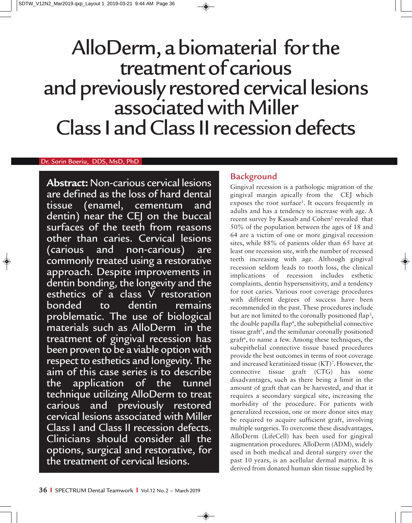# AlloDerm, a biomaterial for the treatment of carious and previously restored cervical lesions associated with Miller Class I and Class II recession defects

#### Dr. Sorin Boeriu, DDS, MsD, PhD

**Abstract:** Non-carious cervical lesions are defined as the loss of hard dental tissue (enamel, cementum and dentin) near the CEJ on the buccal surfaces of the teeth from reasons other than caries. Cervical lesions (carious and non-carious) are commonly treated using a restorative approach. Despite improvements in dentin bonding, the longevity and the esthetics of a class V restoration bonded to dentin remains problematic. The use of biological materials such as AlloDerm in the treatment of gingival recession has been proven to be a viable option with respect to esthetics and longevity. The aim of this case series is to describe the application of the tunnel technique utilizing AlloDerm to treat carious and previously restored cervical lesions associated with Miller Class I and Class II recession defects. Clinicians should consider all the options, surgical and restorative, for the treatment of cervical lesions.

# Background

Gingival recession is a pathologic migration of the gingival margin apically from the CEJ which exposes the root surface<sup>1</sup>. It occurs frequently in adults and has a tendency to increase with age. A recent survey by Kassab and Cohen<sup>2</sup> revealed that 50% of the population between the ages of 18 and 64 are a victim of one or more gingival recession sites, while 88% of patients older than 65 have at least one recession site, with the number of recessed teeth increasing with age. Although gingival recession seldom leads to tooth loss, the clinical implications of recession includes esthetic complaints, dentin hypersensitivity, and a tendency for root caries. Various root coverage procedures with different degrees of success have been recommended in the past. These procedures include but are not limited to the coronally positioned flap<sup>3</sup>, the double papilla flap<sup>4</sup>, the subepithelial connective tissue graft<sup>5</sup>, and the semilunar coronally positioned graft<sup>6</sup>, to name a few. Among these techniques, the subepithelial connective tissue based procedures provide the best outcomes in terms of root coverage and increased keratinized tissue (KT)<sup>7</sup>. However, the connective tissue graft (CTG) has some disadvantages, such as there being a limit in the amount of graft that can be harvested, and that it requires a secondary surgical site, increasing the morbidity of the procedure. For patients with generalized recession, one or more donor sites may be required to acquire sufficient graft, involving multiple surgeries. To overcome these disadvantages, AlloDerm (LifeCell) has been used for gingival augmentation procedures. AlloDerm (ADM), widely used in both medical and dental surgery over the past 10 years, is an acellular dermal matrix. It is derived from donated human skin tissue supplied by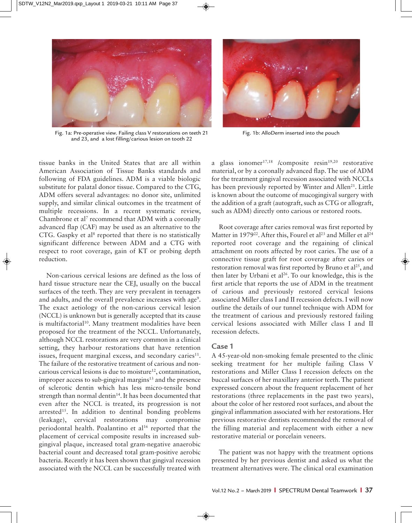

Fig. 1a: Pre-operative view. Failing class V restorations on teeth 21 and 23, and a lost filling/carious lesion on tooth 22



Fig. 1b: AlloDerm inserted into the pouch

tissue banks in the United States that are all within American Association of Tissue Banks standards and following of FDA guidelines. ADM is a viable biologic substitute for palatal donor tissue. Compared to the CTG, ADM offers several advantages: no donor site, unlimited supply, and similar clinical outcomes in the treatment of multiple recessions. In a recent systematic review, Chambrone et al<sup>7</sup> recommend that ADM with a coronally advanced flap (CAF) may be used as an alternative to the CTG. Gaspky et al<sup>8</sup> reported that there is no statistically significant difference between ADM and a CTG with respect to root coverage, gain of KT or probing depth reduction.

Non-carious cervical lesions are defined as the loss of hard tissue structure near the CEJ, usually on the buccal surfaces of the teeth. They are very prevalent in teenagers and adults, and the overall prevalence increases with age<sup>9</sup>. The exact aetiology of the non-carious cervical lesion (NCCL) is unknown but is generally accepted that its cause is multifactorial<sup>10</sup>. Many treatment modalities have been proposed for the treatment of the NCCL. Unfortunately, although NCCL restorations are very common in a clinical setting, they harbour restorations that have retention issues, frequent marginal excess, and secondary caries $11$ . The failure of the restorative treatment of carious and noncarious cervical lesions is due to moisture<sup>12</sup>, contamination, improper access to sub-gingival margins $13$  and the presence of sclerotic dentin which has less micro-tensile bond strength than normal dentin<sup>14</sup>. It has been documented that even after the NCCL is treated, its progression is not arrested<sup>15</sup>. In addition to dentinal bonding problems (leakage), cervical restorations may compromise periodontal health. Poalantino et al<sup>16</sup> reported that the placement of cervical composite results in increased subgingival plaque, increased total gram-negative anaerobic bacterial count and decreased total gram-positive aerobic bacteria. Recently it has been shown that gingival recession associated with the NCCL can be successfully treated with

a glass ionomer<sup>17,18</sup> /composite resin<sup>19,20</sup> restorative material, or by a coronally advanced flap. The use of ADM for the treatment gingival recession associated with NCCLs has been previously reported by Winter and Allen<sup>21</sup>. Little is known about the outcome of mucogingival surgery with the addition of a graft (autograft, such as CTG or allograft, such as ADM) directly onto carious or restored roots.

Root coverage after caries removal was first reported by Matter in 1979<sup>22</sup>. After this, Fourel et al<sup>23</sup> and Miller et al<sup>24</sup> reported root coverage and the regaining of clinical attachment on roots affected by root caries. The use of a connective tissue graft for root coverage after caries or restoration removal was first reported by Bruno et  $al^{25}$ , and then later by Urbani et al<sup>26</sup>. To our knowledge, this is the first article that reports the use of ADM in the treatment of carious and previously restored cervical lesions associated Miller class I and II recession defects. I will now outline the details of our tunnel technique with ADM for the treatment of carious and previously restored failing cervical lesions associated with Miller class I and II recession defects.

#### **Case 1**

A 45-year-old non-smoking female presented to the clinic seeking treatment for her multiple failing Class V restorations and Miller Class I recession defects on the buccal surfaces of her maxillary anterior teeth. The patient expressed concern about the frequent replacement of her restorations (three replacements in the past two years), about the color of her restored root surfaces, and about the gingival inflammation associated with her restorations. Her previous restorative dentists recommended the removal of the filling material and replacement with either a new restorative material or porcelain veneers.

The patient was not happy with the treatment options presented by her previous dentist and asked us what the treatment alternatives were. The clinical oral examination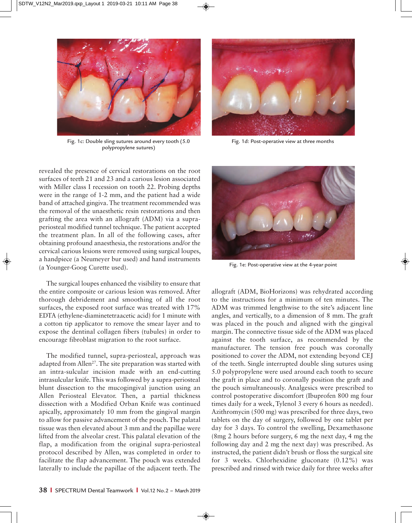

Fig. 1c: Double sling sutures around every tooth (5.0 polypropylene sutures)

revealed the presence of cervical restorations on the root surfaces of teeth 21 and 23 and a carious lesion associated with Miller class I recession on tooth 22. Probing depths were in the range of 1-2 mm, and the patient had a wide band of attached gingiva. The treatment recommended was the removal of the unaesthetic resin restorations and then grafting the area with an allograft (ADM) via a supraperiosteal modified tunnel technique. The patient accepted the treatment plan. In all of the following cases, after obtaining profound anaesthesia, the restorations and/or the cervical carious lesions were removed using surgical loupes, a handpiece (a Neumeyer bur used) and hand instruments (a Younger-Goog Curette used).

The surgical loupes enhanced the visibility to ensure that the entire composite or carious lesion was removed. After thorough debridement and smoothing of all the root surfaces, the exposed root surface was treated with 17% EDTA (ethylene-diaminetetraacetic acid) for 1 minute with a cotton tip applicator to remove the smear layer and to expose the dentinal collagen fibers (tubules) in order to encourage fibroblast migration to the root surface.

The modified tunnel, supra-periosteal, approach was adapted from Allen<sup>27</sup>. The site preparation was started with an intra-sulcular incision made with an end-cutting intrasulcular knife. This was followed by a supra-periosteal blunt dissection to the mucogingival junction using an Allen Periosteal Elevator. Then, a partial thickness dissection with a Modified Orban Knife was continued apically, approximately 10 mm from the gingival margin to allow for passive advancement of the pouch. The palatal tissue was then elevated about 3 mm and the papillae were lifted from the alveolar crest. This palatal elevation of the flap, a modification from the original supra-periosteal protocol described by Allen, was completed in order to facilitate the flap advancement. The pouch was extended laterally to include the papillae of the adjacent teeth. The



Fig. 1d: Post-operative view at three months



Fig. 1e: Post-operative view at the 4-year point

allograft (ADM, BioHorizons) was rehydrated according to the instructions for a minimum of ten minutes. The ADM was trimmed lengthwise to the site's adjacent line angles, and vertically, to a dimension of 8 mm. The graft was placed in the pouch and aligned with the gingival margin. The connective tissue side of the ADM was placed against the tooth surface, as recommended by the manufacturer. The tension free pouch was coronally positioned to cover the ADM, not extending beyond CEJ of the teeth. Single interrupted double sling sutures using 5.0 polypropylene were used around each tooth to secure the graft in place and to coronally position the graft and the pouch simultaneously. Analgesics were prescribed to control postoperative discomfort (Ibuprofen 800 mg four times daily for a week, Tylenol 3 every 6 hours as needed). Azithromycin (500 mg) was prescribed for three days, two tablets on the day of surgery, followed by one tablet per day for 3 days. To control the swelling, Dexamethasone (8mg 2 hours before surgery, 6 mg the next day, 4 mg the following day and 2 mg the next day) was prescribed. As instructed, the patient didn't brush or floss the surgical site for 3 weeks. Chlorhexidine gluconate (0.12%) was prescribed and rinsed with twice daily for three weeks after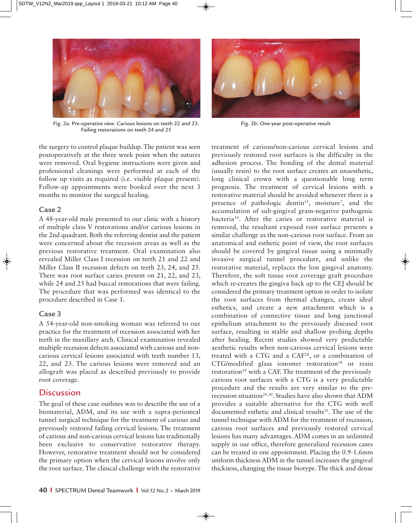

Fig. 2a: Pre-operative view. Carious lesions on teeth 22 and 23. Failing restorations on teeth 24 and 25

the surgery to control plaque buildup. The patient was seen postoperatively at the three week point when the sutures were removed. Oral hygiene instructions were given and professional cleanings were performed at each of the follow up visits as required (i.e. visible plaque present). Follow-up appointments were booked over the next 3 months to monitor the surgical healing.

### **Case 2**

A 48-year-old male presented to our clinic with a history of multiple class V restorations and/or carious lesions in the 2nd quadrant. Both the referring dentist and the patient were concerned about the recession areas as well as the previous restorative treatment. Oral examination also revealed Miller Class I recession on teeth 21 and 22 and Miller Class II recession defects on teeth 23, 24, and 25. There was root surface caries present on 21, 22, and 23, while 24 and 25 had buccal restorations that were failing. The procedure that was performed was identical to the procedure described in Case 1.

### **Case 3**

A 54-year-old non-smoking woman was referred to our practice for the treatment of recession associated with her teeth in the maxillary arch. Clinical examination revealed multiple recession defects associated with carious and noncarious cervical lesions associated with teeth number 13, 22, and 23. The carious lesions were removed and an allograft was placed as described previously to provide root coverage.

# **Discussion**

The goal of these case outlines was to describe the use of a biomaterial, ADM, and its use with a supra-periosteal tunnel surgical technique for the treatment of carious and previously restored failing cervical lesions. The treatment of carious and non-carious cervical lesions has traditionally been exclusive to conservative restorative therapy. However, restorative treatment should not be considered the primary option when the cervical lesions involve only the root surface. The clinical challenge with the restorative



Fig. 2b: One-year post-operative result

treatment of carious/non-carious cervical lesions and previously restored root surfaces is the difficulty in the adhesion process. The bonding of the dental material (usually resin) to the root surface creates an unaesthetic, long clinical crown with a questionable long term prognosis. The treatment of cervical lesions with a restorative material should be avoided whenever there is a presence of pathologic dentin<sup>15</sup>, moisture<sup>7</sup>, and the accumulation of sub-gingival gram-negative pathogenic bacteria10. After the caries or restorative material is removed, the resultant exposed root surface presents a similar challenge as the non-carious root surface. From an anatomical and esthetic point of view, the root surfaces should be covered by gingival tissue using a minimally invasive surgical tunnel procedure, and unlike the restorative material, replaces the lost gingival anatomy. Therefore, the soft tissue root coverage graft procedure which re-creates the gingiva back up to the CEJ should be considered the primary treatment option in order to isolate the root surfaces from thermal changes, create ideal esthetics, and create a new attachment which is a combination of connective tissue and long junctional epithelium attachment to the previously diseased root surface, resulting in stable and shallow probing depths after healing. Recent studies showed very predictable aesthetic results when non-carious cervical lesions were treated with a CTG and a CAF28, or a combination of  $CTG/modified$  glass ionomer restoration<sup>18</sup> or resin restoration<sup>19</sup> with a CAF. The treatment of the previously carious root surfaces with a CTG is a very predictable procedure and the results are very similar to the prerecession situation<sup>29,30</sup>. Studies have also shown that ADM provides a suitable alternative for the CTG with well documented esthetic and clinical results<sup>31</sup>. The use of the tunnel technique with ADM for the treatment of recession, carious root surfaces and previously restored cervical lesions has many advantages. ADM comes in an unlimited supply in our office, therefore generalized recession cases can be treated in one appointment. Placing the 0.9-1.6mm uniform thickness ADM in the tunnel increases the gingival thickness, changing the tissue biotype. The thick and dense